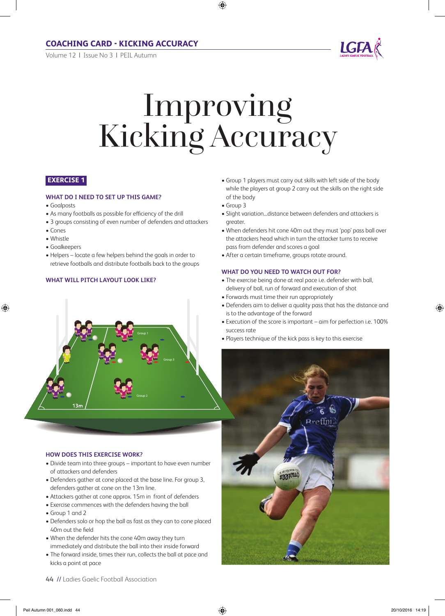Volume 12 | issue No 3 | PeiL Autumn



# Improving Kicking Accuracy

# **exercise 1**

# **WhaT DO I NEED TO SET uP ThIS GamE?**

- Goalposts
- As many footballs as possible for efficiency of the drill
- 3 groups consisting of even number of defenders and attackers
- Cones
- Whistle
- Goalkeepers
- Helpers locate a few helpers behind the goals in order to retrieve footballs and distribute footballs back to the groups

Group 1

Group 2

# **WHAT WILL PITCH LAYOUT LOOK LIKE?**

- Group 1 players must carry out skills with left side of the body while the players at group 2 carry out the skills on the right side of the body
- Group 3
- Slight variation…distance between defenders and attackers is greater.
- When defenders hit cone 40m out they must 'pop' pass ball over the attackers head which in turn the attacker turns to receive pass from defender and scores a goal
- After a certain timeframe, groups rotate around.

# **WhaT DO yOu NEED TO WaTCh OuT FOR?**

- The exercise being done at real pace i.e. defender with ball, delivery of ball, run of forward and execution of shot
- Forwards must time their run appropriately
- Defenders aim to deliver a quality pass that has the distance and is to the advantage of the forward
- Execution of the score is important aim for perfection i.e. 100% success rate
- Players technique of the kick pass is key to this exercise



- When the defender hits the cone 40m away they turn immediately and distribute the ball into their inside forward
- The forward inside, times their run, collects the ball at pace and kicks a point at pace
- 

**hOW DOES ThIS ExERCISE WORK?**

of attackers and defenders

• Group 1 and 2

40m out the field